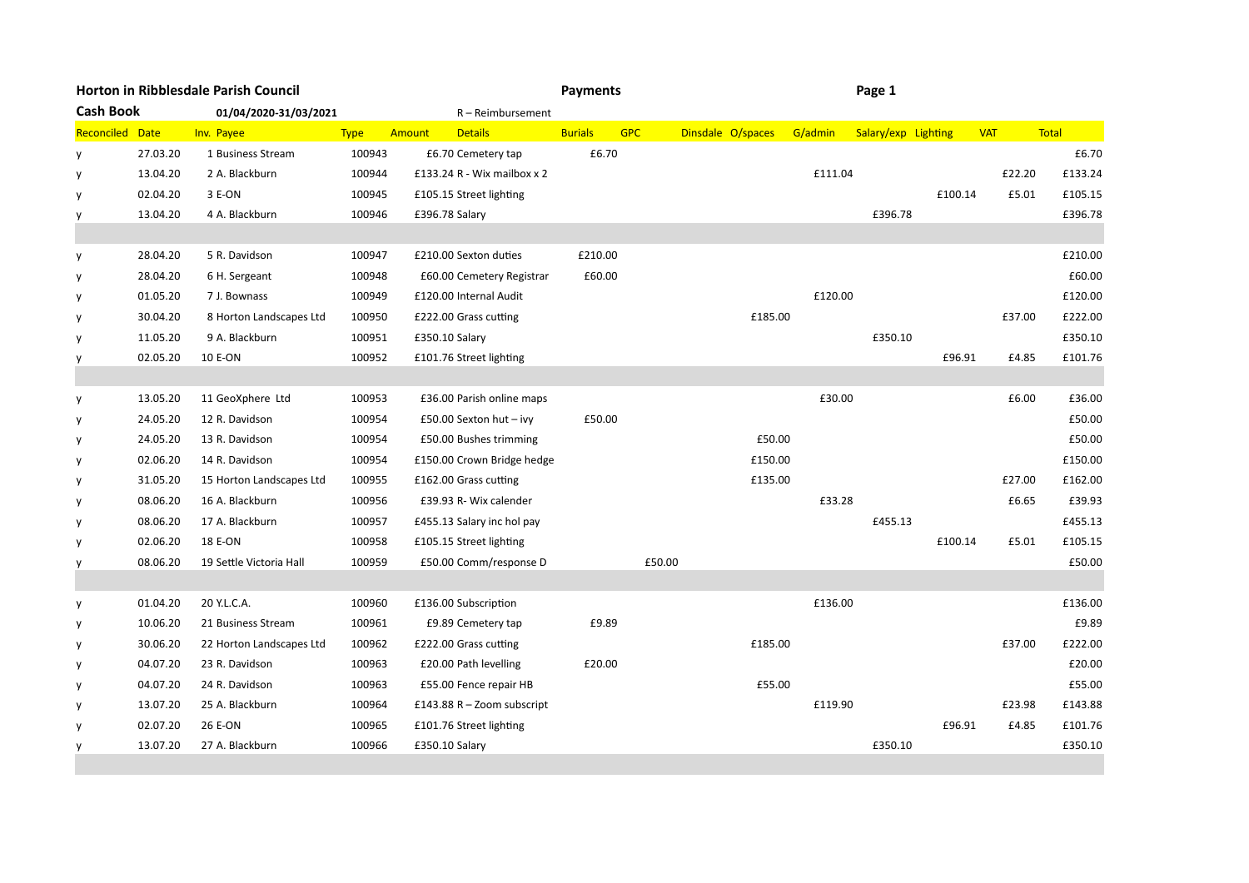| Horton in Ribblesdale Parish Council |          |                          |             |        |                             | <b>Payments</b> |            |                   | Page 1  |                     |         |            |        |         |
|--------------------------------------|----------|--------------------------|-------------|--------|-----------------------------|-----------------|------------|-------------------|---------|---------------------|---------|------------|--------|---------|
| <b>Cash Book</b>                     |          | 01/04/2020-31/03/2021    |             |        | R-Reimbursement             |                 |            |                   |         |                     |         |            |        |         |
| Reconciled Date                      |          | Inv. Payee               | <b>Type</b> | Amount | <b>Details</b>              | <b>Burials</b>  | <b>GPC</b> | Dinsdale O/spaces | G/admin | Salary/exp Lighting |         | <b>VAT</b> |        | Total   |
| y                                    | 27.03.20 | 1 Business Stream        | 100943      |        | £6.70 Cemetery tap          | £6.70           |            |                   |         |                     |         |            |        | £6.70   |
| y                                    | 13.04.20 | 2 A. Blackburn           | 100944      |        | £133.24 R - Wix mailbox x 2 |                 |            |                   | £111.04 |                     |         |            | £22.20 | £133.24 |
| y                                    | 02.04.20 | 3 E-ON                   | 100945      |        | £105.15 Street lighting     |                 |            |                   |         |                     | £100.14 |            | £5.01  | £105.15 |
| y                                    | 13.04.20 | 4 A. Blackburn           | 100946      |        | £396.78 Salary              |                 |            |                   |         | £396.78             |         |            |        | £396.78 |
|                                      |          |                          |             |        |                             |                 |            |                   |         |                     |         |            |        |         |
| y                                    | 28.04.20 | 5 R. Davidson            | 100947      |        | £210.00 Sexton duties       | £210.00         |            |                   |         |                     |         |            |        | £210.00 |
| y                                    | 28.04.20 | 6 H. Sergeant            | 100948      |        | £60.00 Cemetery Registrar   | £60.00          |            |                   |         |                     |         |            |        | £60.00  |
| y                                    | 01.05.20 | 7 J. Bownass             | 100949      |        | £120.00 Internal Audit      |                 |            |                   | £120.00 |                     |         |            |        | £120.00 |
| y                                    | 30.04.20 | 8 Horton Landscapes Ltd  | 100950      |        | £222.00 Grass cutting       |                 |            | £185.00           |         |                     |         |            | £37.00 | £222.00 |
| y                                    | 11.05.20 | 9 A. Blackburn           | 100951      |        | £350.10 Salary              |                 |            |                   |         | £350.10             |         |            |        | £350.10 |
| y                                    | 02.05.20 | 10 E-ON                  | 100952      |        | £101.76 Street lighting     |                 |            |                   |         |                     | £96.91  |            | £4.85  | £101.76 |
|                                      |          |                          |             |        |                             |                 |            |                   |         |                     |         |            |        |         |
| y                                    | 13.05.20 | 11 GeoXphere Ltd         | 100953      |        | £36.00 Parish online maps   |                 |            |                   | £30.00  |                     |         |            | £6.00  | £36.00  |
| y                                    | 24.05.20 | 12 R. Davidson           | 100954      |        | £50.00 Sexton hut $-$ ivy   | £50.00          |            |                   |         |                     |         |            |        | £50.00  |
| y                                    | 24.05.20 | 13 R. Davidson           | 100954      |        | £50.00 Bushes trimming      |                 |            | £50.00            |         |                     |         |            |        | £50.00  |
| y                                    | 02.06.20 | 14 R. Davidson           | 100954      |        | £150.00 Crown Bridge hedge  |                 |            | £150.00           |         |                     |         |            |        | £150.00 |
| y                                    | 31.05.20 | 15 Horton Landscapes Ltd | 100955      |        | £162.00 Grass cutting       |                 |            | £135.00           |         |                     |         |            | £27.00 | £162.00 |
| y                                    | 08.06.20 | 16 A. Blackburn          | 100956      |        | £39.93 R- Wix calender      |                 |            |                   | £33.28  |                     |         |            | £6.65  | £39.93  |
| y                                    | 08.06.20 | 17 A. Blackburn          | 100957      |        | £455.13 Salary inc hol pay  |                 |            |                   |         | £455.13             |         |            |        | £455.13 |
| y                                    | 02.06.20 | 18 E-ON                  | 100958      |        | £105.15 Street lighting     |                 |            |                   |         |                     | £100.14 |            | £5.01  | £105.15 |
| y                                    | 08.06.20 | 19 Settle Victoria Hall  | 100959      |        | £50.00 Comm/response D      |                 | £50.00     |                   |         |                     |         |            |        | £50.00  |
|                                      |          |                          |             |        |                             |                 |            |                   |         |                     |         |            |        |         |
| y                                    | 01.04.20 | 20 Y.L.C.A.              | 100960      |        | £136.00 Subscription        |                 |            |                   | £136.00 |                     |         |            |        | £136.00 |
| y                                    | 10.06.20 | 21 Business Stream       | 100961      |        | £9.89 Cemetery tap          | £9.89           |            |                   |         |                     |         |            |        | £9.89   |
| y                                    | 30.06.20 | 22 Horton Landscapes Ltd | 100962      |        | £222.00 Grass cutting       |                 |            | £185.00           |         |                     |         |            | £37.00 | £222.00 |
| y                                    | 04.07.20 | 23 R. Davidson           | 100963      |        | £20.00 Path levelling       | £20.00          |            |                   |         |                     |         |            |        | £20.00  |
| y                                    | 04.07.20 | 24 R. Davidson           | 100963      |        | £55.00 Fence repair HB      |                 |            | £55.00            |         |                     |         |            |        | £55.00  |
| y                                    | 13.07.20 | 25 A. Blackburn          | 100964      |        | £143.88 R - Zoom subscript  |                 |            |                   | £119.90 |                     |         |            | £23.98 | £143.88 |
| y                                    | 02.07.20 | 26 E-ON                  | 100965      |        | £101.76 Street lighting     |                 |            |                   |         |                     | £96.91  |            | £4.85  | £101.76 |
| y                                    | 13.07.20 | 27 A. Blackburn          | 100966      |        | £350.10 Salary              |                 |            |                   |         | £350.10             |         |            |        | £350.10 |
|                                      |          |                          |             |        |                             |                 |            |                   |         |                     |         |            |        |         |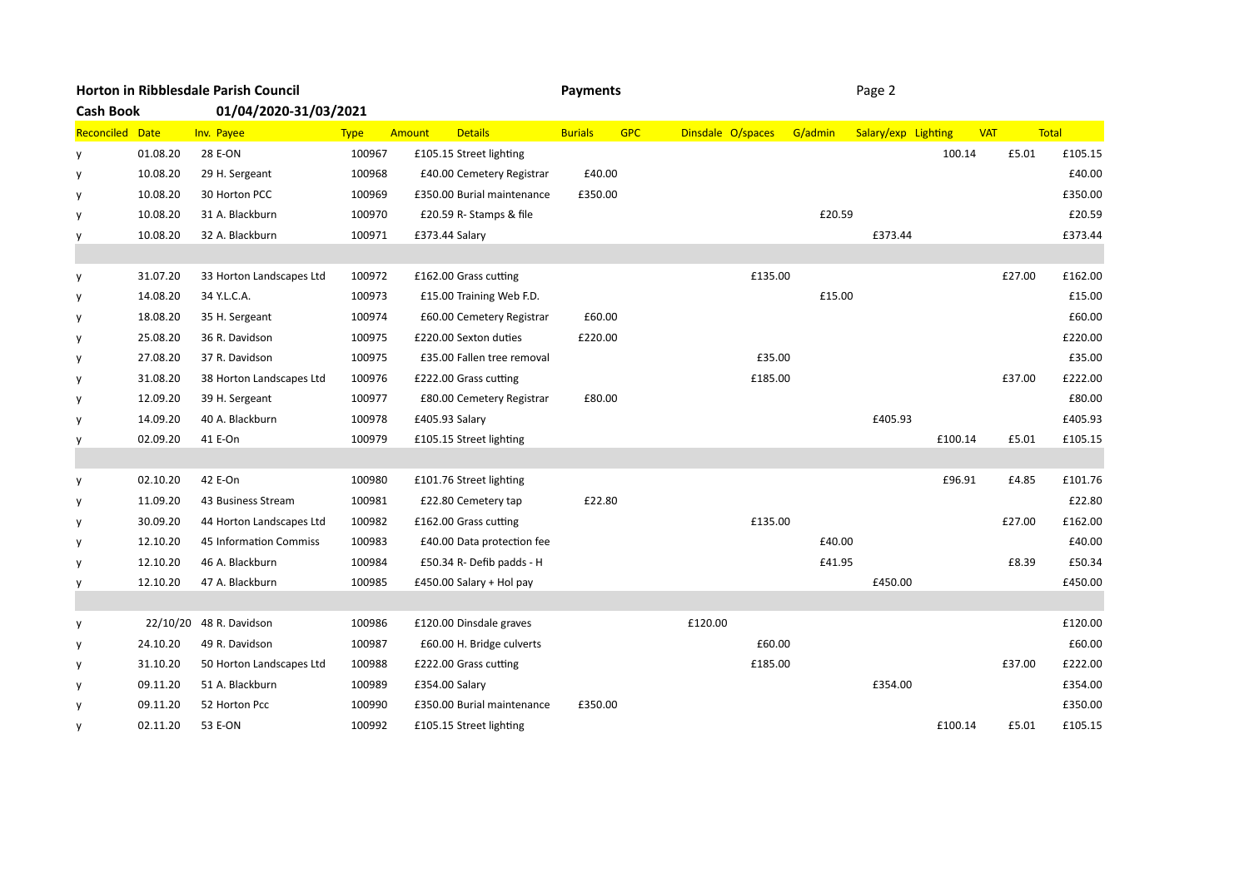| Horton in Ribblesdale Parish Council |          |                          |             |        |                            | <b>Payments</b> |            | Page 2            |         |         |                     |         |            |        |         |
|--------------------------------------|----------|--------------------------|-------------|--------|----------------------------|-----------------|------------|-------------------|---------|---------|---------------------|---------|------------|--------|---------|
| <b>Cash Book</b>                     |          | 01/04/2020-31/03/2021    |             |        |                            |                 |            |                   |         |         |                     |         |            |        |         |
| Reconciled Date                      |          | Inv. Payee               | <b>Type</b> | Amount | <b>Details</b>             | <b>Burials</b>  | <b>GPC</b> | Dinsdale O/spaces |         | G/admin | Salary/exp Lighting |         | <b>VAT</b> |        | Total   |
| y                                    | 01.08.20 | 28 E-ON                  | 100967      |        | £105.15 Street lighting    |                 |            |                   |         |         |                     | 100.14  |            | £5.01  | £105.15 |
| y                                    | 10.08.20 | 29 H. Sergeant           | 100968      |        | £40.00 Cemetery Registrar  | £40.00          |            |                   |         |         |                     |         |            |        | £40.00  |
| y                                    | 10.08.20 | 30 Horton PCC            | 100969      |        | £350.00 Burial maintenance | £350.00         |            |                   |         |         |                     |         |            |        | £350.00 |
| y                                    | 10.08.20 | 31 A. Blackburn          | 100970      |        | £20.59 R-Stamps & file     |                 |            |                   |         | £20.59  |                     |         |            |        | £20.59  |
| y                                    | 10.08.20 | 32 A. Blackburn          | 100971      |        | £373.44 Salary             |                 |            |                   |         |         | £373.44             |         |            |        | £373.44 |
|                                      |          |                          |             |        |                            |                 |            |                   |         |         |                     |         |            |        |         |
| y                                    | 31.07.20 | 33 Horton Landscapes Ltd | 100972      |        | £162.00 Grass cutting      |                 |            |                   | £135.00 |         |                     |         |            | £27.00 | £162.00 |
| y                                    | 14.08.20 | 34 Y.L.C.A.              | 100973      |        | £15.00 Training Web F.D.   |                 |            |                   |         | £15.00  |                     |         |            |        | £15.00  |
| y                                    | 18.08.20 | 35 H. Sergeant           | 100974      |        | £60.00 Cemetery Registrar  | £60.00          |            |                   |         |         |                     |         |            |        | £60.00  |
| y                                    | 25.08.20 | 36 R. Davidson           | 100975      |        | £220.00 Sexton duties      | £220.00         |            |                   |         |         |                     |         |            |        | £220.00 |
| y                                    | 27.08.20 | 37 R. Davidson           | 100975      |        | £35.00 Fallen tree removal |                 |            |                   | £35.00  |         |                     |         |            |        | £35.00  |
| y                                    | 31.08.20 | 38 Horton Landscapes Ltd | 100976      |        | £222.00 Grass cutting      |                 |            |                   | £185.00 |         |                     |         |            | £37.00 | £222.00 |
| y                                    | 12.09.20 | 39 H. Sergeant           | 100977      |        | £80.00 Cemetery Registrar  | £80.00          |            |                   |         |         |                     |         |            |        | £80.00  |
| y                                    | 14.09.20 | 40 A. Blackburn          | 100978      |        | £405.93 Salary             |                 |            |                   |         |         | £405.93             |         |            |        | £405.93 |
| y                                    | 02.09.20 | 41 E-On                  | 100979      |        | £105.15 Street lighting    |                 |            |                   |         |         |                     | £100.14 |            | £5.01  | £105.15 |
|                                      |          |                          |             |        |                            |                 |            |                   |         |         |                     |         |            |        |         |
| y                                    | 02.10.20 | 42 E-On                  | 100980      |        | £101.76 Street lighting    |                 |            |                   |         |         |                     | £96.91  |            | £4.85  | £101.76 |
| y                                    | 11.09.20 | 43 Business Stream       | 100981      |        | £22.80 Cemetery tap        | £22.80          |            |                   |         |         |                     |         |            |        | £22.80  |
| y                                    | 30.09.20 | 44 Horton Landscapes Ltd | 100982      |        | £162.00 Grass cutting      |                 |            |                   | £135.00 |         |                     |         |            | £27.00 | £162.00 |
| y                                    | 12.10.20 | 45 Information Commiss   | 100983      |        | £40.00 Data protection fee |                 |            |                   |         | £40.00  |                     |         |            |        | £40.00  |
| y                                    | 12.10.20 | 46 A. Blackburn          | 100984      |        | £50.34 R- Defib padds - H  |                 |            |                   |         | £41.95  |                     |         |            | £8.39  | £50.34  |
| y                                    | 12.10.20 | 47 A. Blackburn          | 100985      |        | £450.00 Salary + Hol pay   |                 |            |                   |         |         | £450.00             |         |            |        | £450.00 |
|                                      |          |                          |             |        |                            |                 |            |                   |         |         |                     |         |            |        |         |
| y                                    |          | 22/10/20 48 R. Davidson  | 100986      |        | £120.00 Dinsdale graves    |                 |            | £120.00           |         |         |                     |         |            |        | £120.00 |
| y                                    | 24.10.20 | 49 R. Davidson           | 100987      |        | £60.00 H. Bridge culverts  |                 |            |                   | £60.00  |         |                     |         |            |        | £60.00  |
| y                                    | 31.10.20 | 50 Horton Landscapes Ltd | 100988      |        | £222.00 Grass cutting      |                 |            |                   | £185.00 |         |                     |         |            | £37.00 | £222.00 |
| y                                    | 09.11.20 | 51 A. Blackburn          | 100989      |        | £354.00 Salary             |                 |            |                   |         |         | £354.00             |         |            |        | £354.00 |
| y                                    | 09.11.20 | 52 Horton Pcc            | 100990      |        | £350.00 Burial maintenance | £350.00         |            |                   |         |         |                     |         |            |        | £350.00 |
| y                                    | 02.11.20 | 53 E-ON                  | 100992      |        | £105.15 Street lighting    |                 |            |                   |         |         |                     | £100.14 |            | £5.01  | £105.15 |